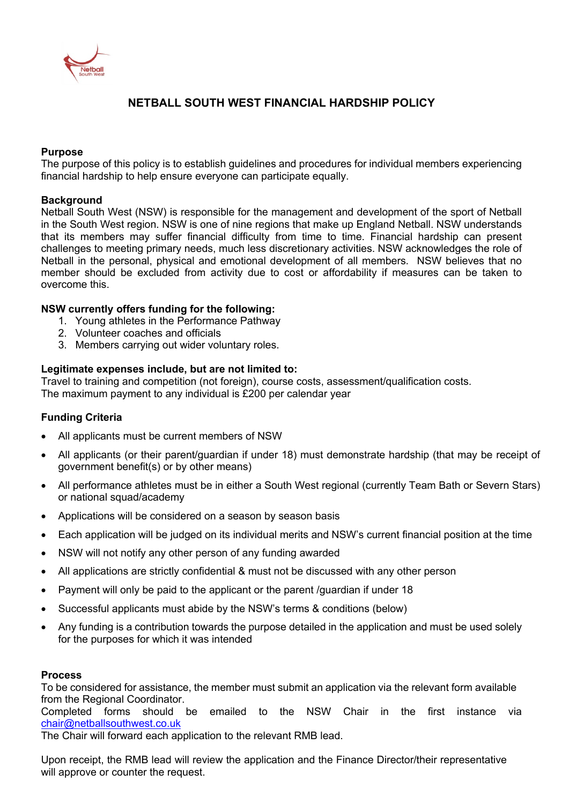

# **NETBALL SOUTH WEST FINANCIAL HARDSHIP POLICY**

### **Purpose**

The purpose of this policy is to establish guidelines and procedures for individual members experiencing financial hardship to help ensure everyone can participate equally.

### **Background**

Netball South West (NSW) is responsible for the management and development of the sport of Netball in the South West region. NSW is one of nine regions that make up England Netball. NSW understands that its members may suffer financial difficulty from time to time. Financial hardship can present challenges to meeting primary needs, much less discretionary activities. NSW acknowledges the role of Netball in the personal, physical and emotional development of all members. NSW believes that no member should be excluded from activity due to cost or affordability if measures can be taken to overcome this.

# **NSW currently offers funding for the following:**

- 1. Young athletes in the Performance Pathway
- 2. Volunteer coaches and officials
- 3. Members carrying out wider voluntary roles.

### **Legitimate expenses include, but are not limited to:**

Travel to training and competition (not foreign), course costs, assessment/qualification costs. The maximum payment to any individual is £200 per calendar year

# **Funding Criteria**

- All applicants must be current members of NSW
- All applicants (or their parent/guardian if under 18) must demonstrate hardship (that may be receipt of government benefit(s) or by other means)
- All performance athletes must be in either a South West regional (currently Team Bath or Severn Stars) or national squad/academy
- Applications will be considered on a season by season basis
- Each application will be judged on its individual merits and NSW's current financial position at the time
- NSW will not notify any other person of any funding awarded
- All applications are strictly confidential & must not be discussed with any other person
- Payment will only be paid to the applicant or the parent /guardian if under 18
- Successful applicants must abide by the NSW's terms & conditions (below)
- Any funding is a contribution towards the purpose detailed in the application and must be used solely for the purposes for which it was intended

### **Process**

To be considered for assistance, the member must submit an application via the relevant form available from the Regional Coordinator.

Completed forms should be emailed to the NSW Chair in the first instance via chair@netballsouthwest.co.uk

The Chair will forward each application to the relevant RMB lead.

Upon receipt, the RMB lead will review the application and the Finance Director/their representative will approve or counter the request.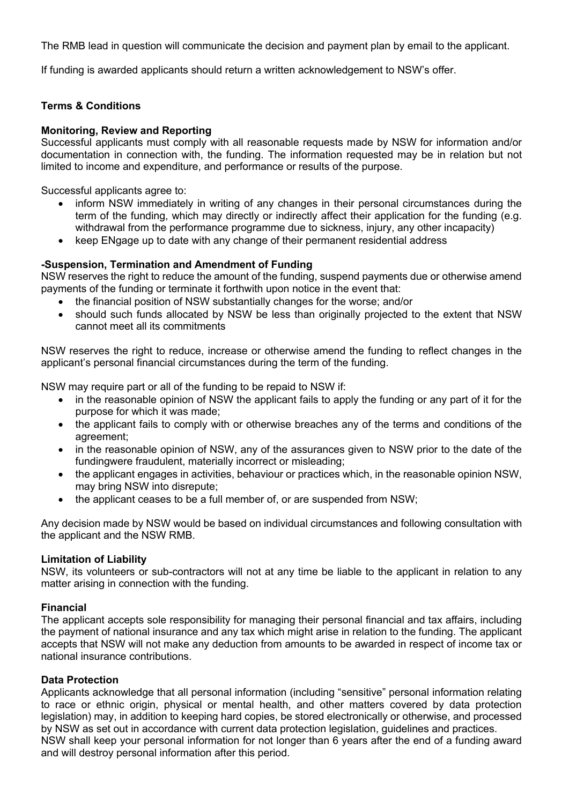The RMB lead in question will communicate the decision and payment plan by email to the applicant.

If funding is awarded applicants should return a written acknowledgement to NSW's offer.

# **Terms & Conditions**

# **Monitoring, Review and Reporting**

Successful applicants must comply with all reasonable requests made by NSW for information and/or documentation in connection with, the funding. The information requested may be in relation but not limited to income and expenditure, and performance or results of the purpose.

Successful applicants agree to:

- inform NSW immediately in writing of any changes in their personal circumstances during the term of the funding, which may directly or indirectly affect their application for the funding (e.g. withdrawal from the performance programme due to sickness, injury, any other incapacity)
- keep ENgage up to date with any change of their permanent residential address

### **-Suspension, Termination and Amendment of Funding**

NSW reserves the right to reduce the amount of the funding, suspend payments due or otherwise amend payments of the funding or terminate it forthwith upon notice in the event that:

- the financial position of NSW substantially changes for the worse; and/or
- should such funds allocated by NSW be less than originally projected to the extent that NSW cannot meet all its commitments

NSW reserves the right to reduce, increase or otherwise amend the funding to reflect changes in the applicant's personal financial circumstances during the term of the funding.

NSW may require part or all of the funding to be repaid to NSW if:

- in the reasonable opinion of NSW the applicant fails to apply the funding or any part of it for the purpose for which it was made;
- the applicant fails to comply with or otherwise breaches any of the terms and conditions of the agreement;
- in the reasonable opinion of NSW, any of the assurances given to NSW prior to the date of the fundingwere fraudulent, materially incorrect or misleading;
- the applicant engages in activities, behaviour or practices which, in the reasonable opinion NSW, may bring NSW into disrepute;
- the applicant ceases to be a full member of, or are suspended from NSW;

Any decision made by NSW would be based on individual circumstances and following consultation with the applicant and the NSW RMB.

# **Limitation of Liability**

NSW, its volunteers or sub-contractors will not at any time be liable to the applicant in relation to any matter arising in connection with the funding.

### **Financial**

The applicant accepts sole responsibility for managing their personal financial and tax affairs, including the payment of national insurance and any tax which might arise in relation to the funding. The applicant accepts that NSW will not make any deduction from amounts to be awarded in respect of income tax or national insurance contributions.

# **Data Protection**

Applicants acknowledge that all personal information (including "sensitive" personal information relating to race or ethnic origin, physical or mental health, and other matters covered by data protection legislation) may, in addition to keeping hard copies, be stored electronically or otherwise, and processed by NSW as set out in accordance with current data protection legislation, guidelines and practices.

NSW shall keep your personal information for not longer than 6 years after the end of a funding award and will destroy personal information after this period.